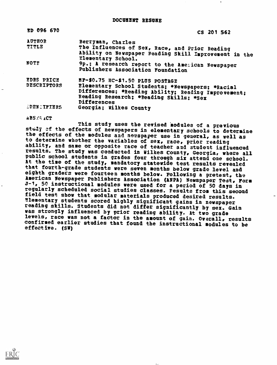| ED 096 670                    | CS 201 562                                                                                                                                                               |
|-------------------------------|--------------------------------------------------------------------------------------------------------------------------------------------------------------------------|
| <b>AUTHOR</b><br><b>TITLE</b> | Berryman, Charles                                                                                                                                                        |
|                               | The Influences of Sex, Race, and Prior Reading<br>Ability on Newspaper Reading Skill Improvement in the<br>Elementary School.                                            |
| <b>NOTE</b>                   | 9p.; A research report to the American Newspaper<br>Publishers Association Foundation                                                                                    |
| EDRS PRICE                    | HP-\$0.75 HC-\$1.50 PLUS POSTAGE                                                                                                                                         |
| DESCRIPTORS                   | Elementary School Students; *Newspapers; *Racial<br>Differences; *Reading Ability; Reading Improvement;<br>Reading Research; *Reading Skills; *Sex<br><b>Differences</b> |
| <b>LOENTIFIERS</b>            | Georgia; Wilkes County                                                                                                                                                   |

ABSTRACT This study uses the revised nodules of a previous study of the effects of newspapers in elementary schools to determine<br>the effects of the modules and newspaper use in general, as well as to determine whether the variables of sex, race, prior reading<br>ability, and same or opposite race of teacher and student influenced results. The study was conducted in Wilkes County, Georgia, where all<br>public school students in grades four through six attend one school.<br>At the time of the study, mandatory statewide test results revealed<br>that fourth-gra eighth graders were fourteen months below. Following a pretest, the<br>American Newspaper Publishers Association (ANPA) Newspaper Test, Form<br>J-1, 50 instructional modules were used for a period of 50 days in regularly scheduled social studies classes. Results from this second field test show that modular materials produced desired results. Elementary students scored highly significant gains in newspaper reading skills. Students did not differ significantly by sex. Gain was strongly influenced by prior reading ability. At two grade levels, race was not a factor in the amount of gain. Overall, results confirmed earlier studies that found the instructional modules to be effective. (SW)

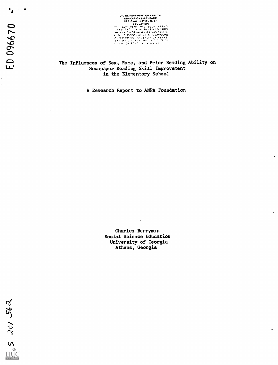U S DE PARTMENT OF HEALTH<br>EDUCATION & WELFARE<br>|NATIONAL INSTITUTE OF **EDUCATION<br>THE DOTOMONY HAVE LEVEL HEDPO**<br>THE PERSON OF OR DRIVER TON GRIGIN<br>THE PERSON OF OR DRIVER TON GRIGIN<br>21 N. T. P. P. DOTOMONY NEWS ARREST TO NOT THE PERSON OF THE PRESSURE TO NOT THE TOP NOT THE TERM AND THE TOP<br>

The Influences of Sex, Race, and Prior Reading Ability on Newspaper Reading Skill Improvement in the Elementary School

A Research Report to ANPA Foundation

Charles Berryman Social Science Education University of Georgia Athens, Georgia

 $\overline{\phantom{a}}$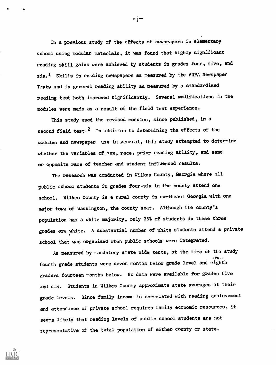In a previous study of the effects of newspapers in elementary school using modular materials, it was found that highly significant reading skill gains were achieved by students in grades four, five, and six.<sup>1</sup> Skills in reading newspapers as measured by the ANPA Newspaper Tests and in general reading ability as measured by a standardized reading test both improved sigrificantly. Several modifications in the modules were made as a result of the field test experience.

⊷j⊷

This study used the revised modules, since published, in a second field test.<sup>2</sup> In addition to determining the effects of the modules and newspaper use in general, this study attempted to determine whether the variables of sex, race, prior reading ability, and same or opposite race of teacher and student influenced results.

The research was conducted in Wilkes County, Georgia where all public school students in grades four-six in the county attend one school. Wilkes County is a rural county in northeast Georgia with one major towa of Washington, the county seat. Although the county's population has a white majority, only 36% of students in these three grades are white. A substantial number of white students attend a private school that was organized when public schools were integrated.

As measured by mandatory state wide tests, at the time of the study fourth grade students were seven months below grade level and eighth graders fourteen months below. No data were available for grades five and six. Students in Wilkes County approximate state averages at their grade levels. Since family income is correlated with reading achievement and attendance of private school requires family economic resources, it seems likely that reading levels of public school students are not representative of the total population of either county or state.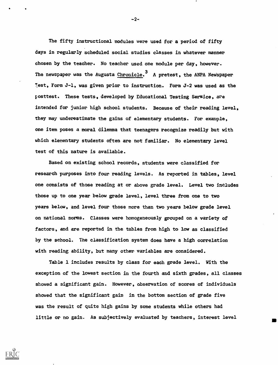The fifty instructional modules were used for a period of fifty days in regularly scheduled social studies classes in whatever manner chosen by the teacher. No teacher used one module per day, however. The newspaper was the Augusta Chronicle.<sup>3</sup> A pretest, the ANPA Newspaper Test, Form J-1, was given prior to instruction. Form J-2 was used as the tosttest. These tests, developed by Educational Testing Service, are intended for junior high school students. Because of their reading level, they may underestimate the gains of elementary students. For example, one item poses a moral dilemma that teenagers recognize readily but with which elementary students often are not familiar. No elementary level test of this nature is available.

Based on existing school records, students were classified for research purposes into four reading levels. As reported in tables, level one consists of those reading at or above grade level. Level two includes those up to one year below grade level, level three from one to two years below, and level four those more than two years below grade level on national norms. Classes were homogeneously grouped on a variety of factors, and are reported in the tables from high to low as classified by the school. The classification system does have a high correlation with reading ability, but many other variables are considered.

Table 1 includes results by class for each grade level. With the exception of the lowest section in the fourth and sixth grades, all classes showed a significant gain. However, observation of scores of individuals showed that the significant gain in the bottom section of grade five was the result of quite high gains by some students while others had little or no gain. As subjectively evaluated by teachers, interest level

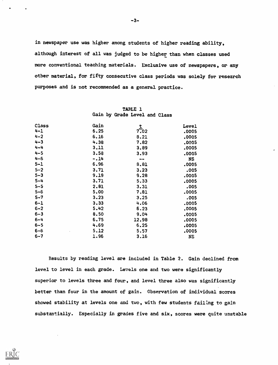in newspaper use was higher among students of higher reading ability, although interest of all was judged to be higher than when classes used more conventional teaching materials. Exclusive use of newspapers, or any other material, for fifty consecutive class periods was solely for research purposes and is not recommended as a general practice.

| <b>Class</b> | Gain   | t     | Level     |  |
|--------------|--------|-------|-----------|--|
| 4-1          | 6.25   | 7.02  | .0005     |  |
| $4 - 2$      | 6.16   | 8.21  | .0005     |  |
| 4-3          | 4.38   | 7.82  | .0005     |  |
| 4-4          | 3.11   | 3.89  | .0005     |  |
| $4 - 5$      | 3.58   | 3.93  | .0005     |  |
| 4-6          | $-.14$ | $- -$ | <b>NS</b> |  |
| $5 - 1$      | 6.96   | 8.81  | .0005     |  |
| $5 - 2$      | 3.71   | 3.23  | .005      |  |
| $5 - 3$      | 9.19   | 9.28  | .0005     |  |
| $5 - 4$      | 3.71   | 5.33  | .0005     |  |
| $5 - 5$      | 2.81   | 3.31  | .005      |  |
| $5 - 6$      | 5.00   | 7.81  | .0005     |  |
| $5 - 7$      | 3.23   | 3.25  | .005      |  |
| $6 - 1$      | 3.33   | 4.06  | .0005     |  |
| $6 - 2$      | 5.42   | 6.23  | .0005     |  |
| $6 - 3$      | 8.50   | 9.04  | .0005     |  |
| $6 - 4$      | 6.75   | 12.98 | .0005     |  |
| $6 - 5$      | 4.69   | 6.25  | .0005     |  |
| $6 - 6$      | 5.12   | 5.57  | .0005     |  |
| 6–7          | 1.96   | 3.16  | <b>NS</b> |  |

TABLE 1 Gain by Grade Level and Class

Results by reading level are included in Table 2. Gain declined from level to level in each grade. Levels one and two were significantly superior to levels three and four, and level three also was significantly better than four in the amount of gain. Observation of individual scores showed stability at levels one and two, with few students failing to gain substantially. Especially in grades five and six, scores were quite unstable

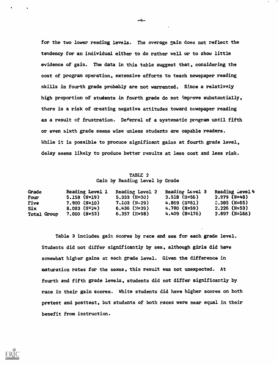for the two lower reading levels. The average gain does not reflect the tendency for an individual either to do rather well or to show little evidence of gain. The data in this table suggest that, considering the cost of program operation, extensive efforts to teach newspaper reading skills in fourth grade probably are not warranted. Since a relatively high proportion of students in fourth grade do not tmprove substantially, there is a risk of creating negative attitudes toward newspaper reading as a result of frustration. Deferral of a systematic program until fifth or even sixth grade seems wise unless students are capable readers. While it is possible to procuce significant gains at fourth grade level, delay seems likely to produce better results at less cost and less risk.

## TABLE 2 Gain by Reading Level by Grade

| Grade       | <b>Reading Level 1</b> | <b>Reading Level 2</b> | Reading Level 3 | Reading Level 4 |
|-------------|------------------------|------------------------|-----------------|-----------------|
| Four        | $5.158$ (N=19)         | $5.333$ (N=30)         | $3.518$ (N=56)  | $2.979$ (N=48)  |
| Five        | $7.900(N=10)$          | $7.103(N-29)$          | 4.869 (N=61)    | $C.385$ (N=65)  |
| Six         | $8.083$ (N=24)         | $6.436$ (N=39)         | $4.780$ (N=59)  | $2,226$ (N=53)  |
| Total Group | $7.000$ (N=53)         | $6.357$ (N=98)         | $4.409$ (N=176) | $2.897$ (N=166) |

Table 3 includes gain scores by race and sex for each grade level. Students did not differ significantly by sex, although girls did have somewhat higher gains at each grade level. Given the difference in maturation rates for the sexes, this result was not unexpected. At fourth and fifth grade levels, students did not differ significantly by race in their gain scores. White students did have higher scores on both pretest and posttest, but students of both races were near equal in their benefit from instruction.



-4-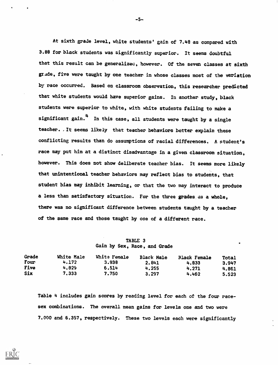At sixth grade level, white students' gain of 7.48 as compared with 3.88 for black students was significantly superior. It seems doubtful that this result can be generalized, however. Of the seven classes at sixth grade, five were taught by one teacher in whose classes most of the variation by race occurred. Based on classroom observation, this researcher predicted that white students would have superior gains. In another study, black students were superior to white, with white students failing to make a significant gain. $4\pi$  In this case, all students were taught by a single teacher. It seems likely that teacher behaviors better explain these conflicting results than do assumptions of racial differences. A student's race may put him at a distinct disadvantage in a given classroom situation, however. This does not show deliberate teacher bias. It seems more likely that unintentional teacher behaviors may reflect bias to students, that student bias may inhibit learning, or that the two may interact to produce a less than satisfactory situation. For the three grades as a whole, there was no significant difference between students taught by a teacher of the same race and those taught by one of a different race.

TABLE 3 Gain by Sex, Race, and Grade

| Grade | White Male | White Female | <b>Black Male</b> | <b>Black Female</b> | Total |  |
|-------|------------|--------------|-------------------|---------------------|-------|--|
| Four  | 4.172      | 3.938        | 2.841             | 4.833               | 3.947 |  |
| Five  | 4.829      | 6.514        | 4.255             | 4.271               | 4.861 |  |
| Six   | 7.333      | 7.750        | 3.297             | 4.462               | 5.523 |  |

Table 4 includes gain scores by reading level for each of the four racesex combinations. The overall mean gains for levels one and two were 7.000 and 6.357, respectively. These two levels each were significantly

 $-5-$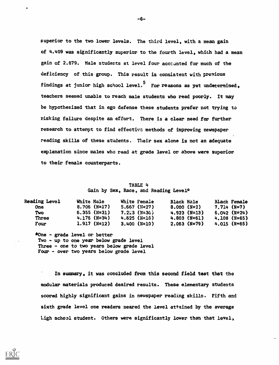superior to the two lower levels. The third level, with a mean gain of 4.409 was significantly superior to the fourth level, which had a mean gain of 2.879. Male students at level four acccunted for much of the deficiency of this group. This result is consistent with previous findings at junior high school level.<sup>5</sup> For reasons as yet undetermined, teachers seemed unable to reach male students who read poorly. It may be hypothesized that in ego defense these students prefer not trying to risking failure despite an effort. There is a clear need for further research to attempt to find effective methods of improving newspaper reading skills of these students. Their sex alone is not an adequate explanation since males who read at grade level or above were superior to their female counterparts.

## TABLE 4 Gain by Sex, Race, and Reading Level\*

| <b>Reading Level</b> | White Male     | White Female   | <b>Black Male</b> | <b>Black Female</b> |  |
|----------------------|----------------|----------------|-------------------|---------------------|--|
| <b>One</b>           | $8.706$ (N=17) | $5.667$ (N=27) | $8.000 (N=2)$     | $7.714$ (N=7)       |  |
| Two                  | $6.355$ (N=31) | $7.223$ (N=36) | $4.923 (N=13)$    | $6.042$ (N=24)      |  |
| Three                | $4.176$ (N=34) | $4.625$ (N=16) | $4.803$ (N=61)    | $4.108$ (N=65)      |  |
| Four                 | $1.917(N=12)$  | $3.400$ (N=10) | $2.063$ (N=79)    | $4.015$ (N=65)      |  |

\*One - grade level or better Two - up to one year below grade level Three - one to two years below grade level Four - over two years below grade level

In summary, it was concluded from this second field test that the modular materials produced desired results. These elementary students scored highly significant gains in newspaper reading skills. Fifth and sixth grade level one readers neared the level attained by the average high school student. Others were significantly lower than that level,

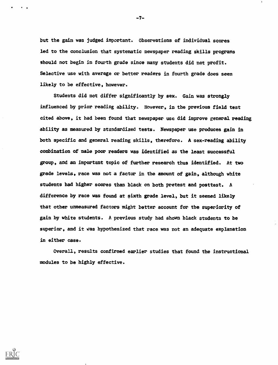but the gain was judged important. Observations of individual scores led to the conclusion that systematic newspaper reading skills programs should not begin in fourth grade since many students did not profit. Selective use with average or better readers in fourth grade does seem likely to be effective, however.

Students did not differ significantly by sex. Gain was strongly influenced by prior reading ability. However, in the previous field test cited above, it had been found that newspaper use did improve general reading ability as measured by standardized tests. Newspaper use produces gain in both specific and general reading skills, therefore. A sex-reading ability combination of male poor readers was identified as the least successful group, and an important topic of further research thus identified. At two grade levels, race was not a factor in the amount of gain, although white students had higher scores than black on both pretest and posttest. A difference by race was found at sixth grade level, but it seemed likely that other unmeasured factors might better account for the superiority of gain by white students. A previous study had shown black students to be superior, and it vas hypothesized that race was not an adequate explanation in either case.

Overall, results confirmed earlier studies that found the instructional modules to be highly effective.

-7-